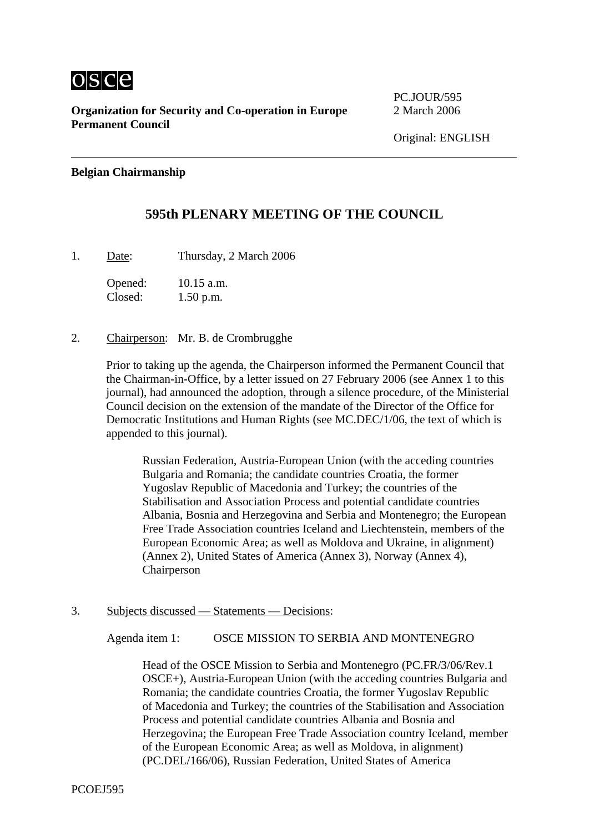

PC.JOUR/595

#### **Belgian Chairmanship**

## **595th PLENARY MEETING OF THE COUNCIL**

1. Date: Thursday, 2 March 2006

Opened: 10.15 a.m. Closed: 1.50 p.m.

2. Chairperson: Mr. B. de Crombrugghe

Prior to taking up the agenda, the Chairperson informed the Permanent Council that the Chairman-in-Office, by a letter issued on 27 February 2006 (see Annex 1 to this journal), had announced the adoption, through a silence procedure, of the Ministerial Council decision on the extension of the mandate of the Director of the Office for Democratic Institutions and Human Rights (see MC.DEC/1/06, the text of which is appended to this journal).

Russian Federation, Austria-European Union (with the acceding countries Bulgaria and Romania; the candidate countries Croatia, the former Yugoslav Republic of Macedonia and Turkey; the countries of the Stabilisation and Association Process and potential candidate countries Albania, Bosnia and Herzegovina and Serbia and Montenegro; the European Free Trade Association countries Iceland and Liechtenstein, members of the European Economic Area; as well as Moldova and Ukraine, in alignment) (Annex 2), United States of America (Annex 3), Norway (Annex 4), Chairperson

3. Subjects discussed — Statements — Decisions:

Agenda item 1: OSCE MISSION TO SERBIA AND MONTENEGRO

Head of the OSCE Mission to Serbia and Montenegro (PC.FR/3/06/Rev.1 OSCE+), Austria-European Union (with the acceding countries Bulgaria and Romania; the candidate countries Croatia, the former Yugoslav Republic of Macedonia and Turkey; the countries of the Stabilisation and Association Process and potential candidate countries Albania and Bosnia and Herzegovina; the European Free Trade Association country Iceland, member of the European Economic Area; as well as Moldova, in alignment) (PC.DEL/166/06), Russian Federation, United States of America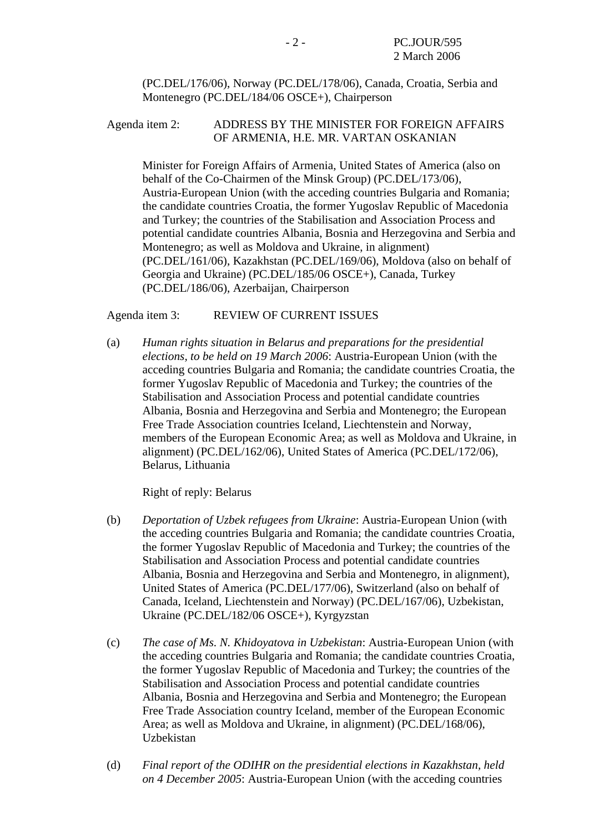(PC.DEL/176/06), Norway (PC.DEL/178/06), Canada, Croatia, Serbia and Montenegro (PC.DEL/184/06 OSCE+), Chairperson

Agenda item 2: ADDRESS BY THE MINISTER FOR FOREIGN AFFAIRS OF ARMENIA, H.E. MR. VARTAN OSKANIAN

Minister for Foreign Affairs of Armenia, United States of America (also on behalf of the Co-Chairmen of the Minsk Group) (PC.DEL/173/06), Austria-European Union (with the acceding countries Bulgaria and Romania; the candidate countries Croatia, the former Yugoslav Republic of Macedonia and Turkey; the countries of the Stabilisation and Association Process and potential candidate countries Albania, Bosnia and Herzegovina and Serbia and Montenegro; as well as Moldova and Ukraine, in alignment) (PC.DEL/161/06), Kazakhstan (PC.DEL/169/06), Moldova (also on behalf of Georgia and Ukraine) (PC.DEL/185/06 OSCE+), Canada, Turkey (PC.DEL/186/06), Azerbaijan, Chairperson

Agenda item 3: REVIEW OF CURRENT ISSUES

(a) *Human rights situation in Belarus and preparations for the presidential elections, to be held on 19 March 2006*: Austria-European Union (with the acceding countries Bulgaria and Romania; the candidate countries Croatia, the former Yugoslav Republic of Macedonia and Turkey; the countries of the Stabilisation and Association Process and potential candidate countries Albania, Bosnia and Herzegovina and Serbia and Montenegro; the European Free Trade Association countries Iceland, Liechtenstein and Norway, members of the European Economic Area; as well as Moldova and Ukraine, in alignment) (PC.DEL/162/06), United States of America (PC.DEL/172/06), Belarus, Lithuania

Right of reply: Belarus

- (b) *Deportation of Uzbek refugees from Ukraine*: Austria-European Union (with the acceding countries Bulgaria and Romania; the candidate countries Croatia, the former Yugoslav Republic of Macedonia and Turkey; the countries of the Stabilisation and Association Process and potential candidate countries Albania, Bosnia and Herzegovina and Serbia and Montenegro, in alignment), United States of America (PC.DEL/177/06), Switzerland (also on behalf of Canada, Iceland, Liechtenstein and Norway) (PC.DEL/167/06), Uzbekistan, Ukraine (PC.DEL/182/06 OSCE+), Kyrgyzstan
- (c) *The case of Ms. N. Khidoyatova in Uzbekistan*: Austria-European Union (with the acceding countries Bulgaria and Romania; the candidate countries Croatia, the former Yugoslav Republic of Macedonia and Turkey; the countries of the Stabilisation and Association Process and potential candidate countries Albania, Bosnia and Herzegovina and Serbia and Montenegro; the European Free Trade Association country Iceland, member of the European Economic Area; as well as Moldova and Ukraine, in alignment) (PC.DEL/168/06), Uzbekistan
- (d) *Final report of the ODIHR on the presidential elections in Kazakhstan, held on 4 December 2005*: Austria-European Union (with the acceding countries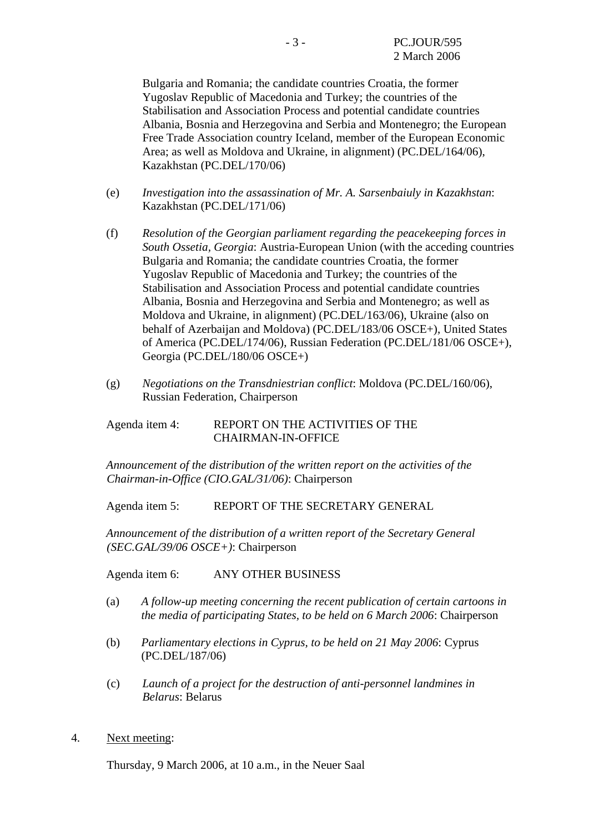Bulgaria and Romania; the candidate countries Croatia, the former Yugoslav Republic of Macedonia and Turkey; the countries of the Stabilisation and Association Process and potential candidate countries Albania, Bosnia and Herzegovina and Serbia and Montenegro; the European Free Trade Association country Iceland, member of the European Economic Area; as well as Moldova and Ukraine, in alignment) (PC.DEL/164/06), Kazakhstan (PC.DEL/170/06)

- (e) *Investigation into the assassination of Mr. A. Sarsenbaiuly in Kazakhstan*: Kazakhstan (PC.DEL/171/06)
- (f) *Resolution of the Georgian parliament regarding the peacekeeping forces in South Ossetia, Georgia*: Austria-European Union (with the acceding countries Bulgaria and Romania; the candidate countries Croatia, the former Yugoslav Republic of Macedonia and Turkey; the countries of the Stabilisation and Association Process and potential candidate countries Albania, Bosnia and Herzegovina and Serbia and Montenegro; as well as Moldova and Ukraine, in alignment) (PC.DEL/163/06), Ukraine (also on behalf of Azerbaijan and Moldova) (PC.DEL/183/06 OSCE+), United States of America (PC.DEL/174/06), Russian Federation (PC.DEL/181/06 OSCE+), Georgia (PC.DEL/180/06 OSCE+)
- (g) *Negotiations on the Transdniestrian conflict*: Moldova (PC.DEL/160/06), Russian Federation, Chairperson

Agenda item 4: REPORT ON THE ACTIVITIES OF THE CHAIRMAN-IN-OFFICE

*Announcement of the distribution of the written report on the activities of the Chairman-in-Office (CIO.GAL/31/06)*: Chairperson

Agenda item 5: REPORT OF THE SECRETARY GENERAL

*Announcement of the distribution of a written report of the Secretary General (SEC.GAL/39/06 OSCE+)*: Chairperson

Agenda item 6: ANY OTHER BUSINESS

- (a) *A follow-up meeting concerning the recent publication of certain cartoons in the media of participating States, to be held on 6 March 2006*: Chairperson
- (b) *Parliamentary elections in Cyprus, to be held on 21 May 2006*: Cyprus (PC.DEL/187/06)
- (c) *Launch of a project for the destruction of anti-personnel landmines in Belarus*: Belarus
- 4. Next meeting:

Thursday, 9 March 2006, at 10 a.m., in the Neuer Saal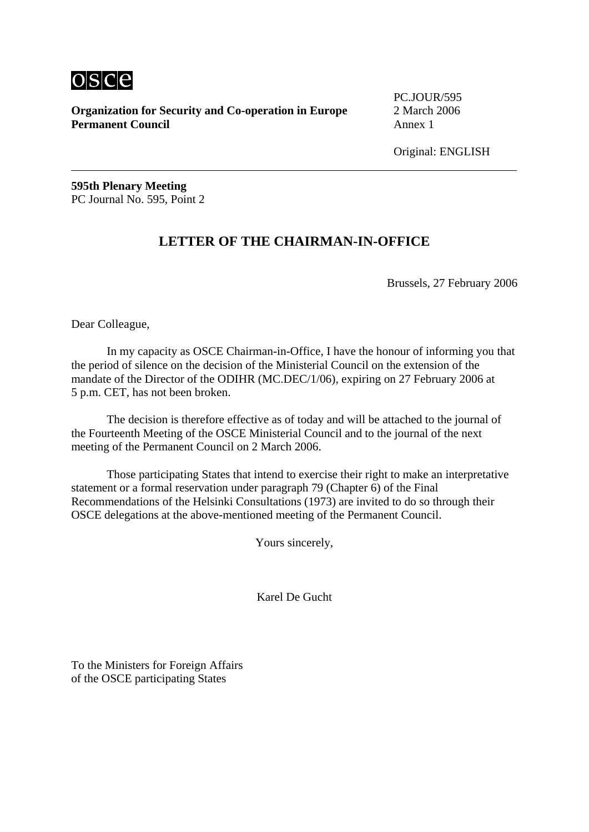

PC.JOUR/595

Original: ENGLISH

**595th Plenary Meeting**  PC Journal No. 595, Point 2

# **LETTER OF THE CHAIRMAN-IN-OFFICE**

Brussels, 27 February 2006

Dear Colleague,

 In my capacity as OSCE Chairman-in-Office, I have the honour of informing you that the period of silence on the decision of the Ministerial Council on the extension of the mandate of the Director of the ODIHR (MC.DEC/1/06), expiring on 27 February 2006 at 5 p.m. CET, has not been broken.

 The decision is therefore effective as of today and will be attached to the journal of the Fourteenth Meeting of the OSCE Ministerial Council and to the journal of the next meeting of the Permanent Council on 2 March 2006.

 Those participating States that intend to exercise their right to make an interpretative statement or a formal reservation under paragraph 79 (Chapter 6) of the Final Recommendations of the Helsinki Consultations (1973) are invited to do so through their OSCE delegations at the above-mentioned meeting of the Permanent Council.

Yours sincerely,

Karel De Gucht

To the Ministers for Foreign Affairs of the OSCE participating States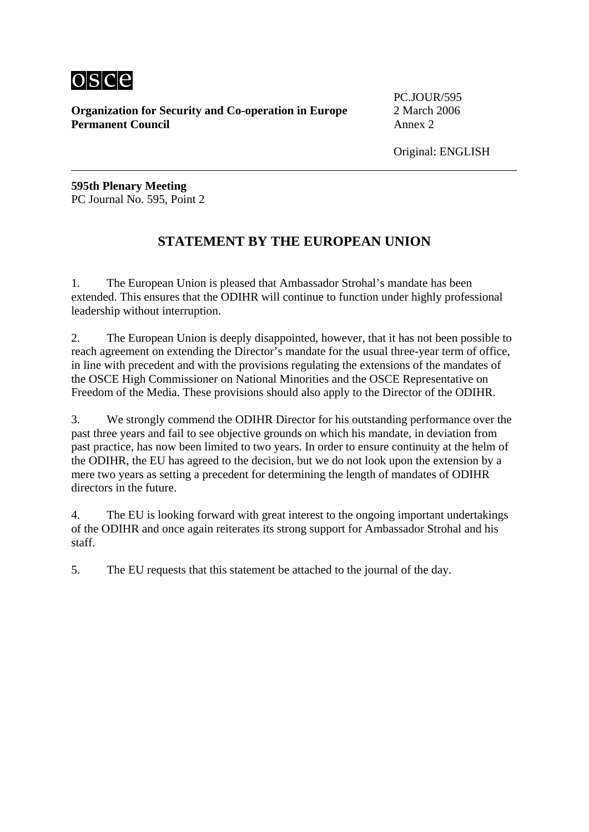

PC.JOUR/595

Original: ENGLISH

**595th Plenary Meeting**  PC Journal No. 595, Point 2

# **STATEMENT BY THE EUROPEAN UNION**

1. The European Union is pleased that Ambassador Strohal's mandate has been extended. This ensures that the ODIHR will continue to function under highly professional leadership without interruption.

2. The European Union is deeply disappointed, however, that it has not been possible to reach agreement on extending the Director's mandate for the usual three-year term of office, in line with precedent and with the provisions regulating the extensions of the mandates of the OSCE High Commissioner on National Minorities and the OSCE Representative on Freedom of the Media. These provisions should also apply to the Director of the ODIHR.

3. We strongly commend the ODIHR Director for his outstanding performance over the past three years and fail to see objective grounds on which his mandate, in deviation from past practice, has now been limited to two years. In order to ensure continuity at the helm of the ODIHR, the EU has agreed to the decision, but we do not look upon the extension by a mere two years as setting a precedent for determining the length of mandates of ODIHR directors in the future.

4. The EU is looking forward with great interest to the ongoing important undertakings of the ODIHR and once again reiterates its strong support for Ambassador Strohal and his staff.

5. The EU requests that this statement be attached to the journal of the day.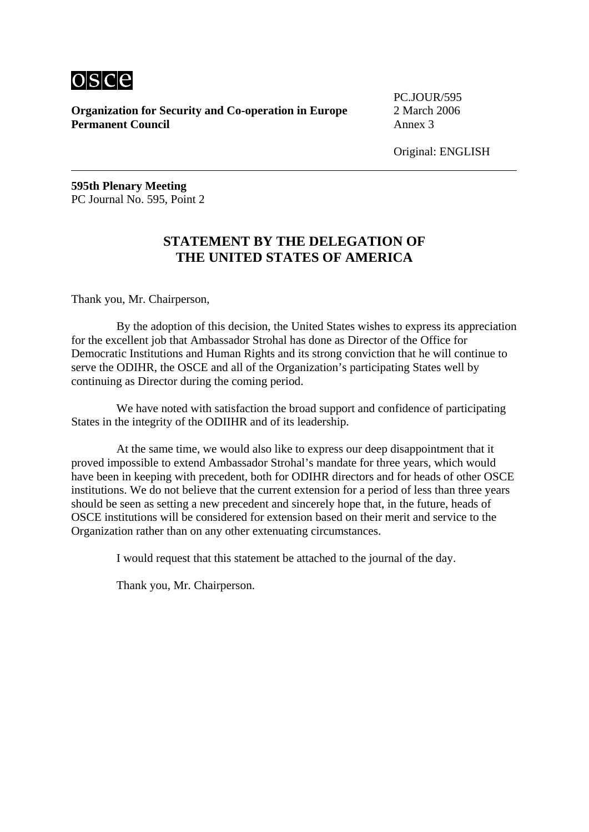

PC.JOUR/595

Original: ENGLISH

**595th Plenary Meeting**  PC Journal No. 595, Point 2

## **STATEMENT BY THE DELEGATION OF THE UNITED STATES OF AMERICA**

Thank you, Mr. Chairperson,

 By the adoption of this decision, the United States wishes to express its appreciation for the excellent job that Ambassador Strohal has done as Director of the Office for Democratic Institutions and Human Rights and its strong conviction that he will continue to serve the ODIHR, the OSCE and all of the Organization's participating States well by continuing as Director during the coming period.

 We have noted with satisfaction the broad support and confidence of participating States in the integrity of the ODIIHR and of its leadership.

 At the same time, we would also like to express our deep disappointment that it proved impossible to extend Ambassador Strohal's mandate for three years, which would have been in keeping with precedent, both for ODIHR directors and for heads of other OSCE institutions. We do not believe that the current extension for a period of less than three years should be seen as setting a new precedent and sincerely hope that, in the future, heads of OSCE institutions will be considered for extension based on their merit and service to the Organization rather than on any other extenuating circumstances.

I would request that this statement be attached to the journal of the day.

Thank you, Mr. Chairperson.